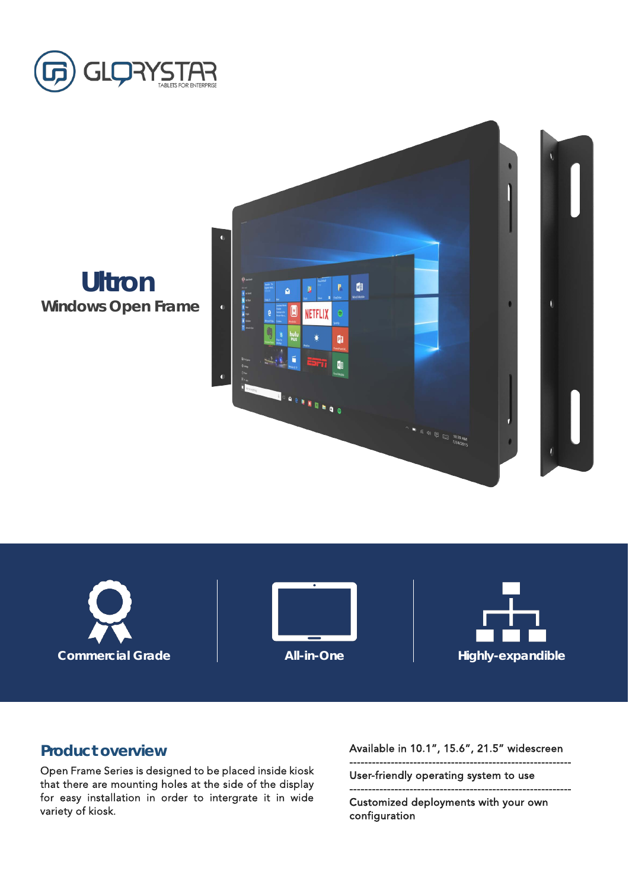



**Ultron Windows Open Frame**







## **Product overview**

Open Frame Series is designed to be placed inside kiosk that there are mounting holes at the side of the display for easy installation in order to intergrate it in wide variety of kiosk.

Available in 10.1", 15.6", 21.5" widescreen

-----------------------------------------------------------

User-friendly operating system to use

-----------------------------------------------------------

Customized deployments with your own configuration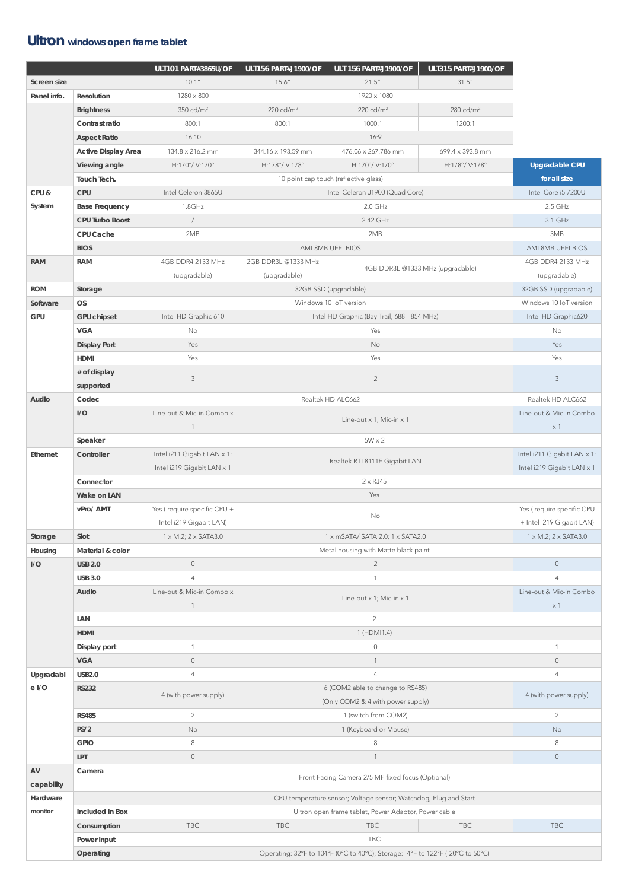## **Ultron windows open frame tablet**

|                  |                            | <b>ULT101 PART#3865U/OF</b>                                                      | <b>ULT156 PART#J1900/OF</b>                 | <b>ULT 156 PART#J1900/OF</b>                                          | <b>ULT315 PART#J1900/OF</b>       |                             |  |
|------------------|----------------------------|----------------------------------------------------------------------------------|---------------------------------------------|-----------------------------------------------------------------------|-----------------------------------|-----------------------------|--|
| Screen size      |                            | 10.1''                                                                           | 15.6''                                      | 21.5''                                                                | 31.5''                            |                             |  |
| Panel info.      | Resolution                 | $1280\times800$                                                                  |                                             | 1920 x 1080                                                           |                                   |                             |  |
|                  | <b>Brightness</b>          | $350 \text{ cd/m}^2$                                                             | 220 cd/ $m2$                                | 220 cd/ $m2$                                                          | 280 cd/ $m2$                      |                             |  |
|                  | Contrast ratio             | 800:1                                                                            | 800:1                                       | 1000:1                                                                | 1200:1                            |                             |  |
|                  | <b>Aspect Ratio</b>        | 16:10                                                                            |                                             | 16:9                                                                  |                                   |                             |  |
|                  | <b>Active Display Area</b> | 134.8 x 216.2 mm                                                                 | 344.16 x 193.59 mm                          | 476.06 x 267.786 mm                                                   | 699.4 x 393.8 mm                  |                             |  |
|                  | Viewing angle              | H:170°/ V:170°                                                                   | H:178°/ V:178°                              | H:170°/ V:170°                                                        | H:178°/ V:178°                    | <b>Upgradable CPU</b>       |  |
|                  | Touch Tech.                |                                                                                  |                                             | 10 point cap touch (reflective glass)                                 |                                   | for all size                |  |
| CPU &            | CPU                        | Intel Celeron 3865U                                                              |                                             | Intel Core i5 7200U                                                   |                                   |                             |  |
| System           | <b>Base Frequency</b>      | 1.8GHz                                                                           |                                             | Intel Celeron J1900 (Quad Core)<br>$2.0$ GHz                          |                                   |                             |  |
|                  | CPU Turbo Boost            | 2.42 GHz                                                                         |                                             |                                                                       |                                   | 2.5 GHz<br>3.1 GHz          |  |
|                  | CPU Cache                  |                                                                                  | 2MB<br>2MB                                  |                                                                       |                                   |                             |  |
|                  |                            |                                                                                  | 3MB                                         |                                                                       |                                   |                             |  |
|                  | <b>BIOS</b>                |                                                                                  | AMI 8MB UEFI BIOS                           |                                                                       |                                   |                             |  |
| <b>RAM</b>       | <b>RAM</b>                 | 4GB DDR4 2133 MHz                                                                | 2GB DDR3L @1333 MHz                         | 4GB DDR3L @1333 MHz (upgradable)                                      | 4GB DDR4 2133 MHz<br>(upgradable) |                             |  |
|                  |                            | (upgradable)                                                                     | (upgradable)                                |                                                                       |                                   |                             |  |
| <b>ROM</b>       | Storage                    |                                                                                  |                                             | 32GB SSD (upgradable)                                                 |                                   | 32GB SSD (upgradable)       |  |
| Software         | <b>OS</b>                  |                                                                                  | Windows 10 IoT version                      | Windows 10 IoT version                                                |                                   |                             |  |
| <b>GPU</b>       | <b>GPU chipset</b>         | Intel HD Graphic 610                                                             | Intel HD Graphic (Bay Trail, 688 - 854 MHz) |                                                                       |                                   | Intel HD Graphic620<br>No   |  |
|                  | <b>VGA</b>                 | No                                                                               |                                             | Yes                                                                   |                                   |                             |  |
|                  | <b>Display Port</b>        | Yes                                                                              | No                                          |                                                                       |                                   | Yes                         |  |
|                  | HDMI                       | Yes                                                                              |                                             | Yes                                                                   |                                   | Yes                         |  |
|                  | # of display               | $\mathfrak{Z}$                                                                   |                                             | $\overline{2}$                                                        |                                   | $\mathfrak{Z}$              |  |
|                  | supported                  |                                                                                  |                                             | Realtek HD ALC662                                                     |                                   |                             |  |
| Audio            | Codec                      |                                                                                  | Realtek HD ALC662                           |                                                                       |                                   |                             |  |
|                  | I/O                        | Line-out & Mic-in Combo x                                                        |                                             | Line-out x 1, Mic-in x 1                                              |                                   | Line-out & Mic-in Combo     |  |
|                  |                            | $\mathbf 1$                                                                      | $\times$ 1                                  |                                                                       |                                   |                             |  |
|                  | Speaker                    |                                                                                  | $5W \times 2$                               |                                                                       |                                   |                             |  |
| Ethernet         | Controller                 | Intel i211 Gigabit LAN x 1;<br>Realtek RTL8111F Gigabit LAN                      |                                             |                                                                       |                                   | Intel i211 Gigabit LAN x 1; |  |
|                  |                            | Intel i219 Gigabit LAN x 1<br>Intel i219 Gigabit LAN x 1<br>$2 \times RJ45$      |                                             |                                                                       |                                   |                             |  |
|                  | Connector                  |                                                                                  |                                             |                                                                       |                                   |                             |  |
|                  | Wake on LAN                |                                                                                  |                                             |                                                                       |                                   |                             |  |
|                  | vPro/ AMT                  | Yes (require specific CPU +                                                      | No                                          |                                                                       |                                   | Yes (require specific CPU   |  |
|                  |                            | Intel i219 Gigabit LAN)                                                          |                                             |                                                                       |                                   | + Intel i219 Gigabit LAN)   |  |
| Storage          | Slot                       | 1 x M.2; 2 x SATA3.0<br>1 x M.2; 2 x SATA3.0<br>1 x mSATA/ SATA 2.0; 1 x SATA2.0 |                                             |                                                                       |                                   |                             |  |
| Housing          | Material & color           |                                                                                  |                                             | Metal housing with Matte black paint                                  |                                   |                             |  |
| I/O              | <b>USB 2.0</b>             | $\mathbb O$                                                                      | $\overline{2}$                              |                                                                       |                                   | $\mathbb O$                 |  |
|                  | <b>USB 3.0</b>             | $\overline{4}$                                                                   | $\mathbf{1}$                                |                                                                       |                                   | $\overline{4}$              |  |
|                  | Audio                      | Line-out & Mic-in Combo x                                                        |                                             | Line-out x 1; Mic-in x 1                                              |                                   | Line-out & Mic-in Combo     |  |
|                  |                            | x 1<br>$\overline{1}$                                                            |                                             |                                                                       |                                   |                             |  |
|                  | LAN                        | $\overline{2}$                                                                   |                                             |                                                                       |                                   |                             |  |
|                  | <b>HDMI</b>                | 1 (HDMI1.4)                                                                      |                                             |                                                                       |                                   |                             |  |
|                  | Display port               |                                                                                  | $\mathbf 0$                                 |                                                                       |                                   |                             |  |
|                  | <b>VGA</b>                 | $\mathbb O$                                                                      |                                             | $\mathbf{1}$                                                          |                                   | $\circ$                     |  |
| Upgradabl        | <b>USB2.0</b>              | $\overline{4}$                                                                   |                                             | $\overline{4}$                                                        |                                   | 4                           |  |
| e I/O            | <b>RS232</b>               | 4 (with power supply)                                                            |                                             | 6 (COM2 able to change to RS485)<br>(Only COM2 & 4 with power supply) |                                   | 4 (with power supply)       |  |
|                  |                            | 2                                                                                |                                             | 1 (switch from COM2)                                                  |                                   |                             |  |
|                  | <b>RS485</b>               |                                                                                  |                                             |                                                                       |                                   | $\overline{2}$              |  |
|                  | PS/2                       | No                                                                               |                                             | 1 (Keyboard or Mouse)                                                 |                                   | No                          |  |
|                  | <b>GPIO</b>                | $\,8\,$                                                                          |                                             | 8<br>$\mathbf{1}$                                                     |                                   | 8                           |  |
|                  | LPT                        | $\circ$                                                                          | $\circ$                                     |                                                                       |                                   |                             |  |
| AV<br>capability | Camera                     | Front Facing Camera 2/5 MP fixed focus (Optional)                                |                                             |                                                                       |                                   |                             |  |
| Hardware         |                            | CPU temperature sensor; Voltage sensor; Watchdog; Plug and Start                 |                                             |                                                                       |                                   |                             |  |
| monitor          | Included in Box            | Ultron open frame tablet, Power Adaptor, Power cable                             |                                             |                                                                       |                                   |                             |  |
|                  | Consumption                | <b>TBC</b>                                                                       | <b>TBC</b>                                  |                                                                       |                                   |                             |  |
|                  | Power input                | <b>TBC</b>                                                                       |                                             |                                                                       |                                   |                             |  |
|                  | Operating                  | Operating: 32°F to 104°F (0°C to 40°C); Storage: -4°F to 122°F (-20°C to 50°C)   |                                             |                                                                       |                                   |                             |  |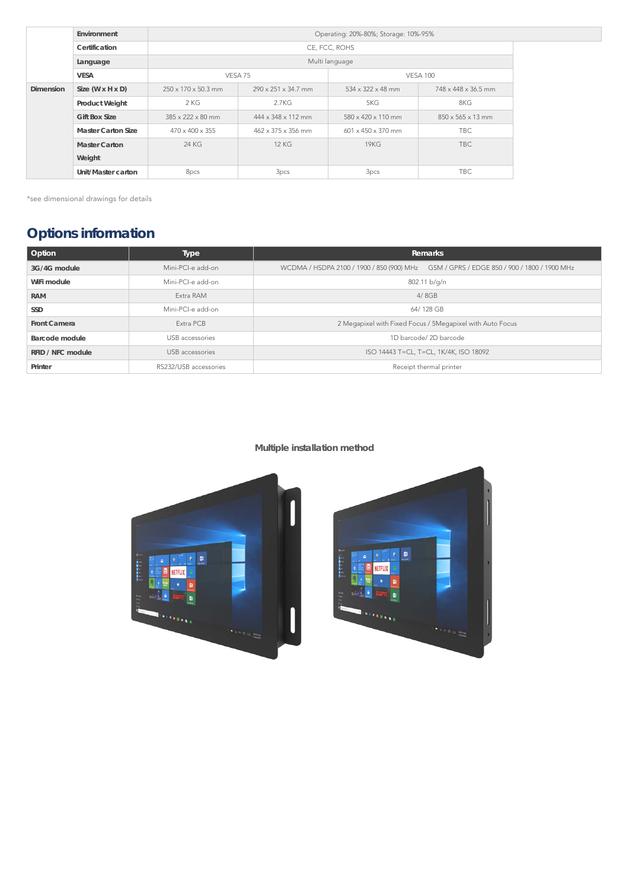\*see dimensional drawings for details

## **Options information**

| <b>Option</b>       | <b>Type</b>           | <b>Remarks</b>                                                                          |  |  |
|---------------------|-----------------------|-----------------------------------------------------------------------------------------|--|--|
| 3G/4G module        | Mini-PCI-e add-on     | WCDMA / HSDPA 2100 / 1900 / 850 (900) MHz GSM / GPRS / EDGE 850 / 900 / 1800 / 1900 MHz |  |  |
| WiFi module         | Mini-PCI-e add-on     | 802.11 b/g/n                                                                            |  |  |
| <b>RAM</b>          | Extra RAM             | 4/8GB                                                                                   |  |  |
| <b>SSD</b>          | Mini-PCI-e add-on     | 64/128 GB                                                                               |  |  |
| <b>Front Camera</b> | Extra PCB             | 2 Megapixel with Fixed Focus / 5Megapixel with Auto Focus                               |  |  |
| Barcode module      | USB accessories       | 1D barcode/2D barcode                                                                   |  |  |
| RFID / NFC module   | USB accessories       | ISO 14443 T=CL, T=CL, 1K/4K, ISO 18092                                                  |  |  |
| Printer             | RS232/USB accessories | Receipt thermal printer                                                                 |  |  |

## **Multiple installation method**





|                  | Environment                  | Operating: 20%-80%; Storage: 10%-95% |                                 |                                |                               |  |  |  |
|------------------|------------------------------|--------------------------------------|---------------------------------|--------------------------------|-------------------------------|--|--|--|
|                  | Certification                | CE, FCC, ROHS                        |                                 |                                |                               |  |  |  |
|                  | Language                     | Multi language                       |                                 |                                |                               |  |  |  |
|                  | <b>VESA</b>                  | VESA <sub>75</sub>                   |                                 | <b>VESA 100</b>                |                               |  |  |  |
| <b>Dimension</b> | Size $(W \times H \times D)$ | $250 \times 170 \times 50.3$ mm      | $290 \times 251 \times 34.7$ mm | $534 \times 322 \times 48$ mm  | 748 x 448 x 36.5 mm           |  |  |  |
|                  | <b>Product Weight</b>        | 2 KG                                 | 2.7KG                           | 5KG                            | 8KG                           |  |  |  |
|                  | <b>Gift Box Size</b>         | $385 \times 222 \times 80$ mm        | $444 \times 348 \times 112$ mm  | $580 \times 420 \times 110$ mm | $850 \times 565 \times 13$ mm |  |  |  |
|                  | <b>Master Carton Size</b>    | $470 \times 400 \times 355$          | $462 \times 375 \times 356$ mm  | $601 \times 450 \times 370$ mm | <b>TBC</b>                    |  |  |  |
|                  | <b>Master Carton</b>         | 24 KG                                | <b>12 KG</b>                    | 19KG                           | <b>TBC</b>                    |  |  |  |
|                  | Weight                       |                                      |                                 |                                |                               |  |  |  |
|                  | Unit/Master carton           | 8 <sub>pcs</sub>                     | 3 <sub>pcs</sub>                | 3 <sub>pcs</sub>               | TBC                           |  |  |  |